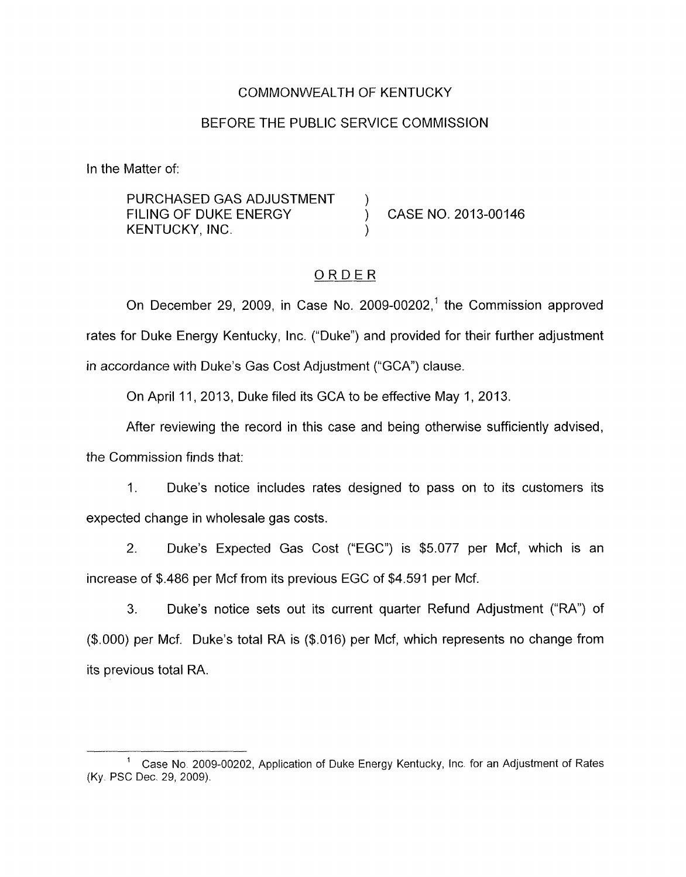### COMMONWEALTH OF KENTUCKY

### BEFORE THE PUBLIC SERVICE COMMISSION

In the Matter of:

PURCHASED GAS ADJUSTMENT ) FILING OF DUKE ENERGY (CASE NO. 2013-00146 KENTUCKY, INC.

### ORDER

On December 29, 2009, in Case No. 2009-00202,' the Commission approved rates for Duke Energy Kentucky, Inc. ("Duke") and provided for their further adjustment in accordance with Duke's Gas Cost Adjustment ("GCA") clause.

On April 11, 2013, Duke filed its GCA to be effective May 1, 2013.

After reviewing the record in this case and being otherwise sufficiently advised, the Commission finds that:

1. Duke's notice includes rates designed to pass on to its customers its expected change in wholesale gas costs.

2. Duke's Expected Gas Cost ("EGC") is \$5.077 per Mcf, which is an increase of \$.486 per Mcf from its previous EGC of \$4.591 per Mcf.

3. Duke's notice sets out its current quarter Refund Adjustment ("RA") of (\$.OOO) per Mcf. Duke's total RA is (\$.016) per Mcf, which represents no change from its previous total RA.

Case No 2009-00202, Application of Duke Energy Kentucky, lnc. for an Adjustment of Rates 1 (Ky. PSC Dec. 29, 2009).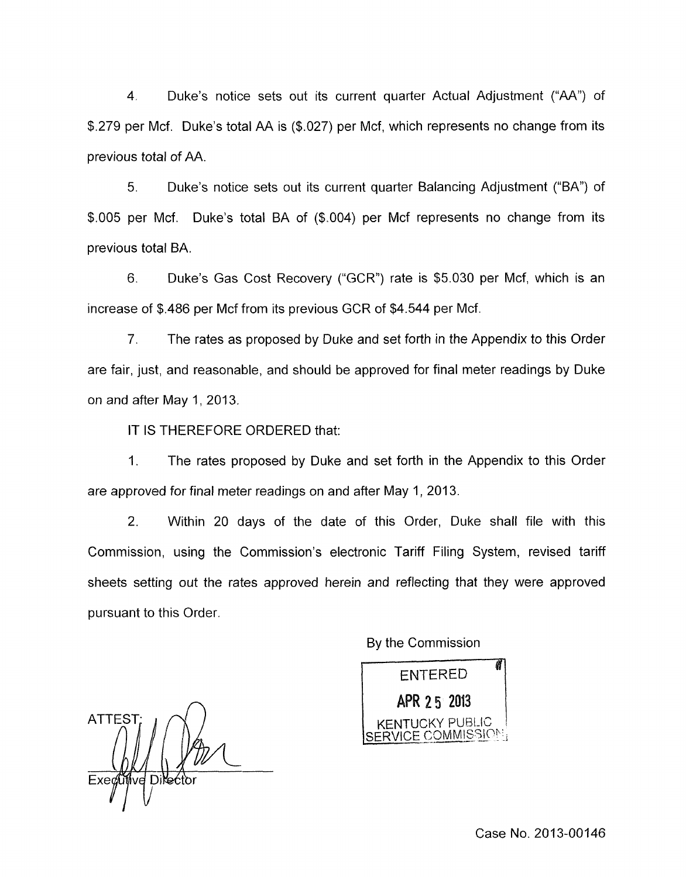4. Duke's notice sets out its current quarter Actual Adjustment ("AA") of \$.279 per Mcf. Duke's total AA is (\$.027) per Mcf, which represents no change from its previous total of AA.

5. Duke's notice sets out its current quarter Balancing Adjustment ("BA") of \$.005 per Mcf. Duke's total BA of (\$.004) per Mcf represents no change from its previous total BA.

6. Duke's Gas Cost Recovery ('GCR'') rate is \$5.030 per Mcf, which is an increase of \$.486 per Mcf from its previous GCR of \$4.544 per Mcf.

7. The rates as proposed by Duke and set forth in the Appendix to this Order are fair, just, and reasonable, and should be approved for final meter readings by Duke on and after May 1, 2013.

IT IS THEREFORE ORDERED that:

1. The rates proposed by Duke and set forth in the Appendix to this Order are approved for final meter readings on and after May 1, 2013.

2. Within 20 days of the date of this Order, Duke shall file with this Commission, using the Commission's electronic Tariff Filing System, revised tariff sheets setting out the rates approved herein and reflecting that they were approved pursuant to this Order.

By the Commission

**ENTERED** APR 25 2013 KENTUCKY PUBLIC  $\Lambda$ CE COMMISSION $_3$ 

 $\bigcap$ **ATTEST** Exectifive Directo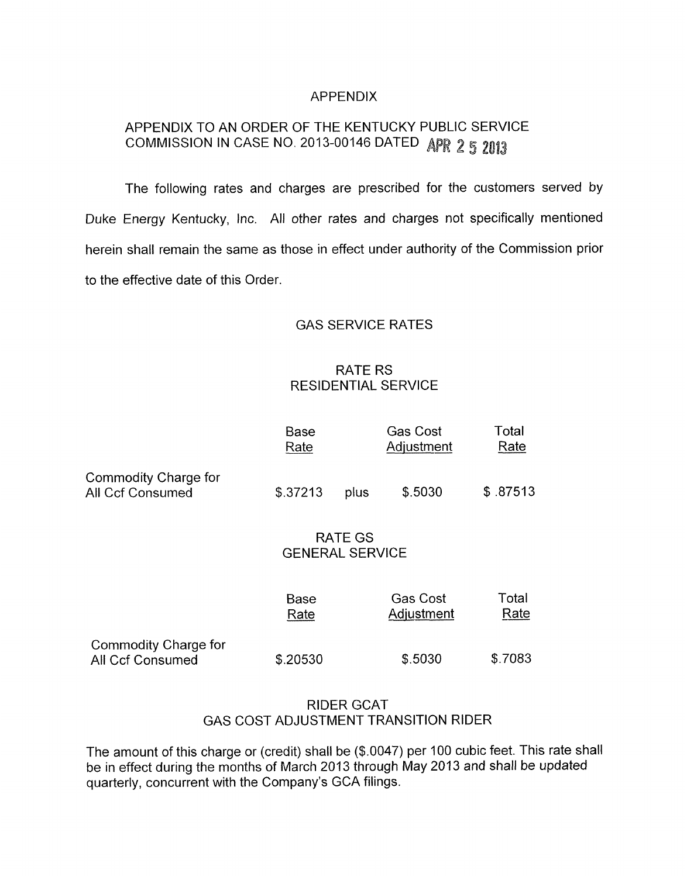### APPENDIX

# APPENDIX TO AN ORDER OF THE KENTUCKY PUBLIC SERVICE COMMISSION IN CASE NO. 2013-00146 DATED APR 2 5 2013

The following rates and charges are prescribed for the customers served by Duke Energy Kentucky, Inc. All other rates and charges not specifically mentioned herein shall remain the same as those in effect under authority of the Commission prior to the effective date of this Order.

## GAS SERVICE RATES

# RATE RS RESIDENTIAL SERVICE

|                                                        | Base<br>Rate                             |      | Gas Cost<br>Adjustment        | Total<br>Rate |
|--------------------------------------------------------|------------------------------------------|------|-------------------------------|---------------|
| <b>Commodity Charge for</b><br><b>All Ccf Consumed</b> | \$.37213                                 | plus | \$.5030                       | \$.87513      |
|                                                        | <b>RATE GS</b><br><b>GENERAL SERVICE</b> |      |                               |               |
|                                                        | <b>Base</b><br>Rate                      |      | <b>Gas Cost</b><br>Adjustment | Total<br>Rate |
| <b>Commodity Charge for</b><br><b>All Ccf Consumed</b> | \$.20530                                 |      | \$.5030                       | \$.7083       |

### RIDER GCAT GAS COST ADJUSTMENT TRANSITION RIDER

The amount of this charge or (credit) shall be (\$.0047) per 100 cubic feet. This rate shall be in effect during the months of March 2013 through May 2013 and shall be updated quarterly, concurrent with the Company's GCA filings.